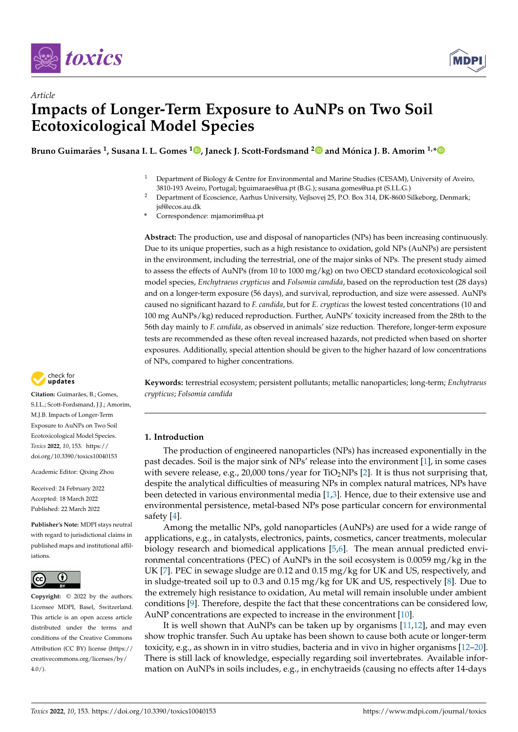



# *Article* **Impacts of Longer-Term Exposure to AuNPs on Two Soil Ecotoxicological Model Species**

**Bruno Guimarães <sup>1</sup> , Susana I. L. Gomes <sup>1</sup> [,](https://orcid.org/0000-0001-7537-2341) Janeck J. Scott-Fordsmand [2](https://orcid.org/0000-0002-2260-1224) and Mónica J. B. Amorim 1,[\\*](https://orcid.org/0000-0001-8137-3295)**

- <sup>1</sup> Department of Biology & Centre for Environmental and Marine Studies (CESAM), University of Aveiro, 3810-193 Aveiro, Portugal; bguimaraes@ua.pt (B.G.); susana.gomes@ua.pt (S.I.L.G.)
- <sup>2</sup> Department of Ecoscience, Aarhus University, Vejlsovej 25, P.O. Box 314, DK-8600 Silkeborg, Denmark; jsf@ecos.au.dk
- **\*** Correspondence: mjamorim@ua.pt

**Abstract:** The production, use and disposal of nanoparticles (NPs) has been increasing continuously. Due to its unique properties, such as a high resistance to oxidation, gold NPs (AuNPs) are persistent in the environment, including the terrestrial, one of the major sinks of NPs. The present study aimed to assess the effects of AuNPs (from 10 to 1000 mg/kg) on two OECD standard ecotoxicological soil model species, *Enchytraeus crypticus* and *Folsomia candida*, based on the reproduction test (28 days) and on a longer-term exposure (56 days), and survival, reproduction, and size were assessed. AuNPs caused no significant hazard to *F. candida*, but for *E. crypticus* the lowest tested concentrations (10 and 100 mg AuNPs/kg) reduced reproduction. Further, AuNPs' toxicity increased from the 28th to the 56th day mainly to *F. candida*, as observed in animals' size reduction. Therefore, longer-term exposure tests are recommended as these often reveal increased hazards, not predicted when based on shorter exposures. Additionally, special attention should be given to the higher hazard of low concentrations of NPs, compared to higher concentrations.

**Keywords:** terrestrial ecosystem; persistent pollutants; metallic nanoparticles; long-term; *Enchytraeus crypticus*; *Folsomia candida*

## **1. Introduction**

The production of engineered nanoparticles (NPs) has increased exponentially in the past decades. Soil is the major sink of NPs' release into the environment [\[1\]](#page-7-0), in some cases with severe release, e.g., 20,000 tons/year for  $TiO<sub>2</sub>NPs$  [\[2\]](#page-7-1). It is thus not surprising that, despite the analytical difficulties of measuring NPs in complex natural matrices, NPs have been detected in various environmental media [\[1,](#page-7-0)[3\]](#page-7-2). Hence, due to their extensive use and environmental persistence, metal-based NPs pose particular concern for environmental safety [\[4\]](#page-7-3).

Among the metallic NPs, gold nanoparticles (AuNPs) are used for a wide range of applications, e.g., in catalysts, electronics, paints, cosmetics, cancer treatments, molecular biology research and biomedical applications [\[5,](#page-7-4)[6\]](#page-7-5). The mean annual predicted environmental concentrations (PEC) of AuNPs in the soil ecosystem is 0.0059 mg/kg in the UK [\[7\]](#page-7-6). PEC in sewage sludge are 0.12 and 0.15 mg/kg for UK and US, respectively, and in sludge-treated soil up to 0.3 and 0.15 mg/kg for UK and US, respectively [\[8\]](#page-7-7). Due to the extremely high resistance to oxidation, Au metal will remain insoluble under ambient conditions [\[9\]](#page-7-8). Therefore, despite the fact that these concentrations can be considered low, AuNP concentrations are expected to increase in the environment [\[10\]](#page-7-9).

It is well shown that AuNPs can be taken up by organisms [\[11,](#page-7-10)[12\]](#page-7-11), and may even show trophic transfer. Such Au uptake has been shown to cause both acute or longer-term toxicity, e.g., as shown in in vitro studies, bacteria and in vivo in higher organisms [\[12](#page-7-11)[–20\]](#page-7-12). There is still lack of knowledge, especially regarding soil invertebrates. Available information on AuNPs in soils includes, e.g., in enchytraeids (causing no effects after 14-days



**Citation:** Guimarães, B.; Gomes, S.I.L.; Scott-Fordsmand, J.J.; Amorim, M.J.B. Impacts of Longer-Term Exposure to AuNPs on Two Soil Ecotoxicological Model Species. *Toxics* **2022**, *10*, 153. [https://](https://doi.org/10.3390/toxics10040153) [doi.org/10.3390/toxics10040153](https://doi.org/10.3390/toxics10040153)

Academic Editor: Qixing Zhou

Received: 24 February 2022 Accepted: 18 March 2022 Published: 22 March 2022

**Publisher's Note:** MDPI stays neutral with regard to jurisdictional claims in published maps and institutional affiliations.



**Copyright:** © 2022 by the authors. Licensee MDPI, Basel, Switzerland. This article is an open access article distributed under the terms and conditions of the Creative Commons Attribution (CC BY) license [\(https://](https://creativecommons.org/licenses/by/4.0/) [creativecommons.org/licenses/by/](https://creativecommons.org/licenses/by/4.0/)  $4.0/$ ).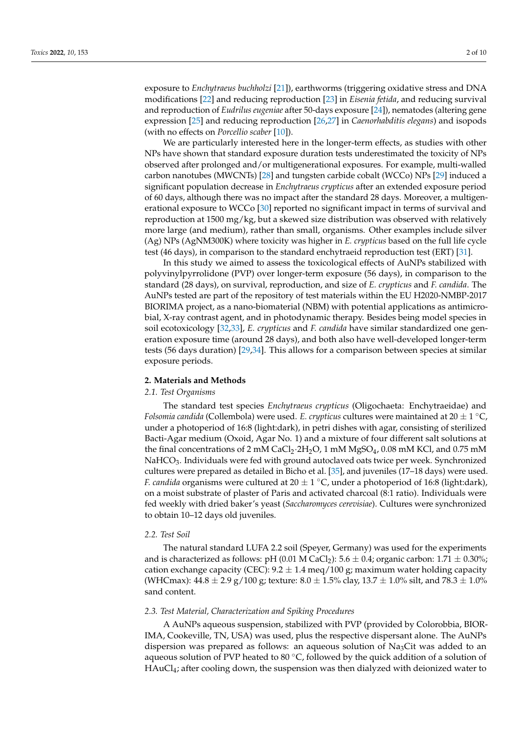exposure to *Enchytraeus buchholzi* [\[21\]](#page-7-13)), earthworms (triggering oxidative stress and DNA modifications [\[22\]](#page-7-14) and reducing reproduction [\[23\]](#page-7-15) in *Eisenia fetida*, and reducing survival and reproduction of *Eudrilus eugeniae* after 50-days exposure [\[24\]](#page-8-0)), nematodes (altering gene expression [\[25\]](#page-8-1) and reducing reproduction [\[26,](#page-8-2)[27\]](#page-8-3) in *Caenorhabditis elegans*) and isopods (with no effects on *Porcellio scaber* [\[10\]](#page-7-9)).

We are particularly interested here in the longer-term effects, as studies with other NPs have shown that standard exposure duration tests underestimated the toxicity of NPs observed after prolonged and/or multigenerational exposures. For example, multi-walled carbon nanotubes (MWCNTs) [\[28\]](#page-8-4) and tungsten carbide cobalt (WCCo) NPs [\[29\]](#page-8-5) induced a significant population decrease in *Enchytraeus crypticus* after an extended exposure period of 60 days, although there was no impact after the standard 28 days. Moreover, a multigenerational exposure to WCCo [\[30\]](#page-8-6) reported no significant impact in terms of survival and reproduction at 1500 mg/kg, but a skewed size distribution was observed with relatively more large (and medium), rather than small, organisms. Other examples include silver (Ag) NPs (AgNM300K) where toxicity was higher in *E. crypticus* based on the full life cycle test (46 days), in comparison to the standard enchytraeid reproduction test (ERT) [\[31\]](#page-8-7).

In this study we aimed to assess the toxicological effects of AuNPs stabilized with polyvinylpyrrolidone (PVP) over longer-term exposure (56 days), in comparison to the standard (28 days), on survival, reproduction, and size of *E. crypticus* and *F. candida*. The AuNPs tested are part of the repository of test materials within the EU H2020-NMBP-2017 BIORIMA project, as a nano-biomaterial (NBM) with potential applications as antimicrobial, X-ray contrast agent, and in photodynamic therapy. Besides being model species in soil ecotoxicology [\[32,](#page-8-8)[33\]](#page-8-9), *E. crypticus* and *F. candida* have similar standardized one generation exposure time (around 28 days), and both also have well-developed longer-term tests (56 days duration) [\[29,](#page-8-5)[34\]](#page-8-10). This allows for a comparison between species at similar exposure periods.

#### **2. Materials and Methods**

## *2.1. Test Organisms*

The standard test species *Enchytraeus crypticus* (Oligochaeta: Enchytraeidae) and *Folsomia candida* (Collembola) were used. *E. crypticus* cultures were maintained at 20  $\pm$  1 °C, under a photoperiod of 16:8 (light:dark), in petri dishes with agar, consisting of sterilized Bacti-Agar medium (Oxoid, Agar No. 1) and a mixture of four different salt solutions at the final concentrations of 2 mM CaCl<sub>2</sub>·2H<sub>2</sub>O, 1 mM MgSO<sub>4</sub>, 0.08 mM KCl, and 0.75 mM NaHCO<sub>3</sub>. Individuals were fed with ground autoclaved oats twice per week. Synchronized cultures were prepared as detailed in Bicho et al. [\[35\]](#page-8-11), and juveniles (17–18 days) were used. *F. candida* organisms were cultured at  $20 \pm 1$  °C, under a photoperiod of 16:8 (light:dark), on a moist substrate of plaster of Paris and activated charcoal (8:1 ratio). Individuals were fed weekly with dried baker's yeast (*Saccharomyces cerevisiae*). Cultures were synchronized to obtain 10–12 days old juveniles.

#### *2.2. Test Soil*

The natural standard LUFA 2.2 soil (Speyer, Germany) was used for the experiments and is characterized as follows: pH (0.01 M CaCl<sub>2</sub>): 5.6  $\pm$  0.4; organic carbon: 1.71  $\pm$  0.30%; cation exchange capacity (CEC):  $9.2 \pm 1.4$  meq/100 g; maximum water holding capacity (WHCmax):  $44.8 \pm 2.9$  g/100 g; texture:  $8.0 \pm 1.5\%$  clay,  $13.7 \pm 1.0\%$  silt, and  $78.3 \pm 1.0\%$ sand content.

#### *2.3. Test Material, Characterization and Spiking Procedures*

A AuNPs aqueous suspension, stabilized with PVP (provided by Colorobbia, BIOR-IMA, Cookeville, TN, USA) was used, plus the respective dispersant alone. The AuNPs dispersion was prepared as follows: an aqueous solution of  $Na<sub>3</sub>C$  it was added to an aqueous solution of PVP heated to 80  $\degree$ C, followed by the quick addition of a solution of  $HAuCl<sub>4</sub>$ ; after cooling down, the suspension was then dialyzed with deionized water to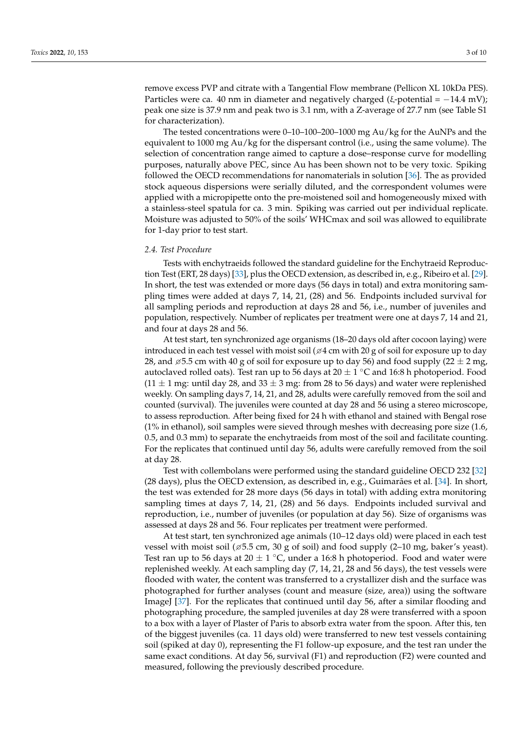remove excess PVP and citrate with a Tangential Flow membrane (Pellicon XL 10kDa PES). Particles were ca. 40 nm in diameter and negatively charged ( $\xi$ -potential = −14.4 mV); peak one size is 37.9 nm and peak two is 3.1 nm, with a Z-average of 27.7 nm (see Table S1 for characterization).

The tested concentrations were 0–10–100–200–1000 mg Au/kg for the AuNPs and the equivalent to 1000 mg Au/kg for the dispersant control (i.e., using the same volume). The selection of concentration range aimed to capture a dose–response curve for modelling purposes, naturally above PEC, since Au has been shown not to be very toxic. Spiking followed the OECD recommendations for nanomaterials in solution [\[36\]](#page-8-12). The as provided stock aqueous dispersions were serially diluted, and the correspondent volumes were applied with a micropipette onto the pre-moistened soil and homogeneously mixed with a stainless-steel spatula for ca. 3 min. Spiking was carried out per individual replicate. Moisture was adjusted to 50% of the soils' WHCmax and soil was allowed to equilibrate for 1-day prior to test start.

#### *2.4. Test Procedure*

Tests with enchytraeids followed the standard guideline for the Enchytraeid Reproduction Test (ERT, 28 days) [\[33\]](#page-8-9), plus the OECD extension, as described in, e.g., Ribeiro et al. [\[29\]](#page-8-5). In short, the test was extended or more days (56 days in total) and extra monitoring sampling times were added at days 7, 14, 21, (28) and 56. Endpoints included survival for all sampling periods and reproduction at days 28 and 56, i.e., number of juveniles and population, respectively. Number of replicates per treatment were one at days 7, 14 and 21, and four at days 28 and 56.

At test start, ten synchronized age organisms (18–20 days old after cocoon laying) were introduced in each test vessel with moist soil ( $\varnothing$ 4 cm with 20 g of soil for exposure up to day 28, and  $\varnothing$ 5.5 cm with 40 g of soil for exposure up to day 56) and food supply (22  $\pm$  2 mg, autoclaved rolled oats). Test ran up to 56 days at 20  $\pm$  1 °C and 16:8 h photoperiod. Food  $(11 \pm 1$  mg: until day 28, and 33  $\pm$  3 mg: from 28 to 56 days) and water were replenished weekly. On sampling days 7, 14, 21, and 28, adults were carefully removed from the soil and counted (survival). The juveniles were counted at day 28 and 56 using a stereo microscope, to assess reproduction. After being fixed for 24 h with ethanol and stained with Bengal rose (1% in ethanol), soil samples were sieved through meshes with decreasing pore size (1.6, 0.5, and 0.3 mm) to separate the enchytraeids from most of the soil and facilitate counting. For the replicates that continued until day 56, adults were carefully removed from the soil at day 28.

Test with collembolans were performed using the standard guideline OECD 232 [\[32\]](#page-8-8) (28 days), plus the OECD extension, as described in, e.g., Guimarães et al. [\[34\]](#page-8-10). In short, the test was extended for 28 more days (56 days in total) with adding extra monitoring sampling times at days 7, 14, 21, (28) and 56 days. Endpoints included survival and reproduction, i.e., number of juveniles (or population at day 56). Size of organisms was assessed at days 28 and 56. Four replicates per treatment were performed.

At test start, ten synchronized age animals (10–12 days old) were placed in each test vessel with moist soil ( $\approx$  5.5 cm, 30 g of soil) and food supply (2–10 mg, baker's yeast). Test ran up to 56 days at 20  $\pm$  1 °C, under a 16:8 h photoperiod. Food and water were replenished weekly. At each sampling day (7, 14, 21, 28 and 56 days), the test vessels were flooded with water, the content was transferred to a crystallizer dish and the surface was photographed for further analyses (count and measure (size, area)) using the software ImageJ [\[37\]](#page-8-13). For the replicates that continued until day 56, after a similar flooding and photographing procedure, the sampled juveniles at day 28 were transferred with a spoon to a box with a layer of Plaster of Paris to absorb extra water from the spoon. After this, ten of the biggest juveniles (ca. 11 days old) were transferred to new test vessels containing soil (spiked at day 0), representing the F1 follow-up exposure, and the test ran under the same exact conditions. At day 56, survival (F1) and reproduction (F2) were counted and measured, following the previously described procedure.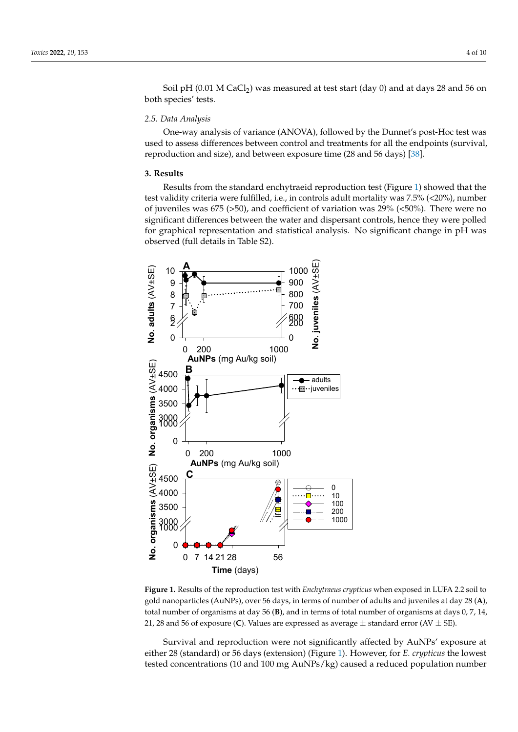Soil pH (0.01 M CaCl<sub>2</sub>) was measured at test start (day 0) and at days 28 and 56 on both species' tests. both species' tests.

## *2.5. Data Analysis 2.5. Data Analysis*

One-way analysis of variance (ANOVA), followed by the Dunnet's post-Hoc test was One-way analysis of variance (ANOVA), followed by the Dunnet's post-Hoc test was used to assess differences between control and treatments for all the endpoints (survival, used to assess differences between control and treatments for all the endpoints (survival, reproduction and size), and between exposure time (28 and 56 days) [\[38\]](#page-8-14). reproduction and size), and between exposure time (28 and 56 days) [38].

## **3. Results 3. Results**

Results from the standard enchytraeid reproduction test (Figure 1) showed that the Results from the standard enchytraeid reproduction test (Figure [1\)](#page-3-0) showed that the test validity criteria were fulfilled, i.e., in controls adult mortality was 7.5% (<20%), number of juveniles was 675 (>50), and coefficient of variation was 29% (<50%). There were no significant differences between the water and dispersant controls, hence they were polled significant differences between the water and dispersant controls, hence they were polled for graphical representation and statistical analysis. No significant change in pH was observed (full details in Table S2). served (full details in Table S2).

<span id="page-3-0"></span>

Figure 1. Results of the reproduction test with Enchytraeus crypticus when exposed in LUFA 2.2 soil to to gold nanoparticles (AuNPs), over 56 days, in terms of number of adults and juveniles at day 28 gold nanoparticles (AuNPs), over 56 days, in terms of number of adults and juveniles at day 28 (**A**), total number of organisms at day 56 (**B**), and in terms of total number of organisms at days 0, 7, 14, 21, 28 and 56 of exposure (C). Values are expressed as average  $\pm$  standard error (AV  $\pm$  SE).

Survival and reproduction were not significantly affected by AuNPs' exposure at either 28 (standard) or 56 days (extension) (Figure [1\)](#page-3-0). However, for *E. crypticus* the lowest tested concentrations (10 and 100 mg AuNPs/kg) caused a reduced population number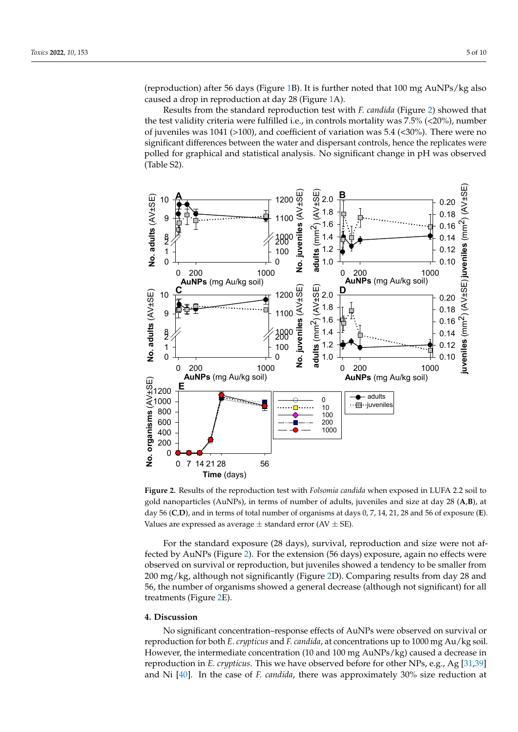(reproduction) after 56 days (Figure [1B](#page-3-0)). It is further noted that 100 mg AuNPs/kg also caused a drop in reproduction at day 28 (Figure [1A](#page-3-0)). caused a drop in reproduction at day 28 (Figure 1A). tested concentrations (10 and 100 mg AuNPs/kg) caused a reduced population number (reproduction) after 56 days (Figure 1B). It is further noted that 100 mg AuNPs/kg also

Results from the standard reproduction test with *F. candida* (Figure [2\)](#page-4-0) showed that Results from the standard reproduction test with *F. candida* (Figure 2) showed that the test validity criteria were fulfilled i.e., in controls mortality was  $7.5\%$  ( $\langle 20\%$ ), number of juveniles was 1041 ( $>100$ ), and coefficient of variation was 5.4 ( $<$ 30%). There were no significant differences between the water and dispersant controls, hence the replicates were polled for graphical and statistical analysis. No significant change in pH was observed (Table S2).

<span id="page-4-0"></span>

Figure 2. Results of the reproduction test with *Folsomia candida* when exposed in LUFA 2.2 soil to gold nanoparticles (AuNPs), in terms of number of adults, juveniles and size at day 28 (A,B), at day 56 (C,D), and in terms of total number of organisms at days 0, 7, 14, 21, 28 and 56 of exposure (E). Values are expressed as average  $\pm$  standard error (AV  $\pm$  SE).

For the standard exposure (28 days), survival, reproduction and size were not af-For the standard exposure (28 days), survival, reproduction and size were not af-fected by AuNPs (Figure [2\)](#page-4-0). For the extension (56 days) exposure, again no effects were observed on survival or reproduction, but juveniles showed a tendency to be smaller from observed on survival or reproduction, but juveniles showed a tendency to be smaller from 200 mg/kg, although not significantly (Figure [2D](#page-4-0)). Comparing results from day 28 and 56, the number of organisms showed a general decrease (although not significant) for all treatments (Figure 2E). treatments (Figure [2E](#page-4-0)).

#### **4. Discussion**

No significant concentration–response effects of AuNPs were observed on survival or reproduction for both *E. crypticus* and *F. candida*, at concentrations up to 1000 mg Au/kg soil. However, the intermediate concentration (10 and 100 mg AuNPs/kg) caused a decrease in reproduction in *E. crypticus*. This we have observed before for other NPs, e.g., Ag [\[31](#page-8-7)[,39\]](#page-8-15) and Ni [\[40\]](#page-8-16). In the case of *F. candida*, there was approximately 30% size reduction at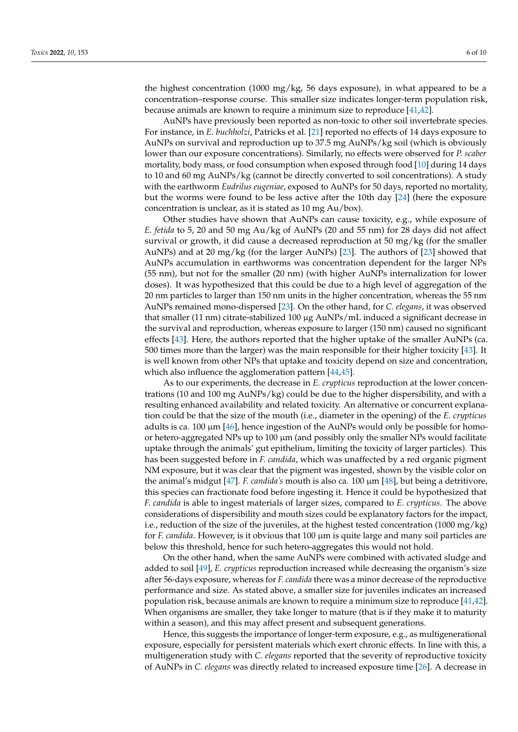the highest concentration (1000 mg/kg, 56 days exposure), in what appeared to be a concentration–response course. This smaller size indicates longer-term population risk, because animals are known to require a minimum size to reproduce [\[41](#page-8-17)[,42\]](#page-8-18).

AuNPs have previously been reported as non-toxic to other soil invertebrate species. For instance, in *E. buchholzi*, Patricks et al. [\[21\]](#page-7-13) reported no effects of 14 days exposure to AuNPs on survival and reproduction up to 37.5 mg AuNPs/kg soil (which is obviously lower than our exposure concentrations). Similarly, no effects were observed for *P. scaber* mortality, body mass, or food consumption when exposed through food [\[10\]](#page-7-9) during 14 days to 10 and 60 mg AuNPs/kg (cannot be directly converted to soil concentrations). A study with the earthworm *Eudrilus eugeniae*, exposed to AuNPs for 50 days, reported no mortality, but the worms were found to be less active after the 10th day [\[24\]](#page-8-0) (here the exposure concentration is unclear, as it is stated as 10 mg Au/box).

Other studies have shown that AuNPs can cause toxicity, e.g., while exposure of *E. fetida* to 5, 20 and 50 mg Au/kg of AuNPs (20 and 55 nm) for 28 days did not affect survival or growth, it did cause a decreased reproduction at 50 mg/kg (for the smaller AuNPs) and at 20 mg/kg (for the larger AuNPs) [\[23\]](#page-7-15). The authors of [\[23\]](#page-7-15) showed that AuNPs accumulation in earthworms was concentration dependent for the larger NPs (55 nm), but not for the smaller (20 nm) (with higher AuNPs internalization for lower doses). It was hypothesized that this could be due to a high level of aggregation of the 20 nm particles to larger than 150 nm units in the higher concentration, whereas the 55 nm AuNPs remained mono-dispersed [\[23\]](#page-7-15). On the other hand, for *C. elegans*, it was observed that smaller (11 nm) citrate-stabilized 100 µg AuNPs/mL induced a significant decrease in the survival and reproduction, whereas exposure to larger (150 nm) caused no significant effects [\[43\]](#page-8-19). Here, the authors reported that the higher uptake of the smaller AuNPs (ca. 500 times more than the larger) was the main responsible for their higher toxicity [\[43\]](#page-8-19). It is well known from other NPs that uptake and toxicity depend on size and concentration, which also influence the agglomeration pattern [\[44,](#page-8-20)[45\]](#page-8-21).

As to our experiments, the decrease in *E. crypticus* reproduction at the lower concentrations (10 and 100 mg AuNPs/kg) could be due to the higher dispersibility, and with a resulting enhanced availability and related toxicity. An alternative or concurrent explanation could be that the size of the mouth (i.e., diameter in the opening) of the *E. crypticus* adults is ca. 100  $\mu$ m [\[46\]](#page-8-22), hence ingestion of the AuNPs would only be possible for homoor hetero-aggregated NPs up to  $100 \mu m$  (and possibly only the smaller NPs would facilitate uptake through the animals' gut epithelium, limiting the toxicity of larger particles). This has been suggested before in *F. candida*, which was unaffected by a red organic pigment NM exposure, but it was clear that the pigment was ingested, shown by the visible color on the animal's midgut [\[47\]](#page-8-23). *F. candida's* mouth is also ca. 100 µm [\[48\]](#page-8-24), but being a detritivore, this species can fractionate food before ingesting it. Hence it could be hypothesized that *F. candida* is able to ingest materials of larger sizes, compared to *E. crypticus*. The above considerations of dispersibility and mouth sizes could be explanatory factors for the impact, i.e., reduction of the size of the juveniles, at the highest tested concentration (1000 mg/kg) for *F. candida*. However, is it obvious that 100 µm is quite large and many soil particles are below this threshold, hence for such hetero-aggregates this would not hold.

On the other hand, when the same AuNPs were combined with activated sludge and added to soil [\[49\]](#page-8-25), *E. crypticus* reproduction increased while decreasing the organism's size after 56-days exposure, whereas for *F. candida* there was a minor decrease of the reproductive performance and size. As stated above, a smaller size for juveniles indicates an increased population risk, because animals are known to require a minimum size to reproduce [\[41](#page-8-17)[,42\]](#page-8-18). When organisms are smaller, they take longer to mature (that is if they make it to maturity within a season), and this may affect present and subsequent generations.

Hence, this suggests the importance of longer-term exposure, e.g., as multigenerational exposure, especially for persistent materials which exert chronic effects. In line with this, a multigeneration study with *C. elegans* reported that the severity of reproductive toxicity of AuNPs in *C. elegans* was directly related to increased exposure time [\[26\]](#page-8-2). A decrease in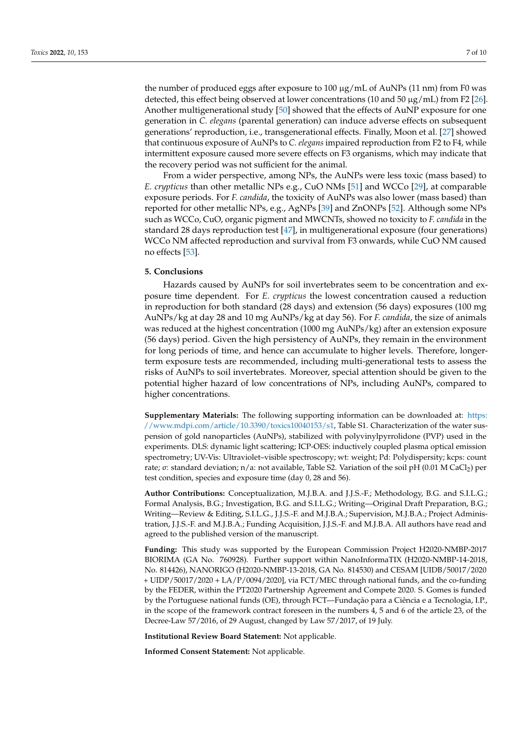the number of produced eggs after exposure to  $100 \mu g/mL$  of AuNPs (11 nm) from F0 was detected, this effect being observed at lower concentrations (10 and 50  $\mu$ g/mL) from F2 [\[26\]](#page-8-2). Another multigenerational study [\[50\]](#page-9-0) showed that the effects of AuNP exposure for one generation in *C. elegans* (parental generation) can induce adverse effects on subsequent generations' reproduction, i.e., transgenerational effects. Finally, Moon et al. [\[27\]](#page-8-3) showed that continuous exposure of AuNPs to *C. elegans* impaired reproduction from F2 to F4, while intermittent exposure caused more severe effects on F3 organisms, which may indicate that the recovery period was not sufficient for the animal.

From a wider perspective, among NPs, the AuNPs were less toxic (mass based) to *E. crypticus* than other metallic NPs e.g., CuO NMs [\[51\]](#page-9-1) and WCCo [\[29\]](#page-8-5), at comparable exposure periods. For *F. candida*, the toxicity of AuNPs was also lower (mass based) than reported for other metallic NPs, e.g., AgNPs [\[39\]](#page-8-15) and ZnONPs [\[52\]](#page-9-2). Although some NPs such as WCCo, CuO, organic pigment and MWCNTs, showed no toxicity to *F. candida* in the standard 28 days reproduction test [\[47\]](#page-8-23), in multigenerational exposure (four generations) WCCo NM affected reproduction and survival from F3 onwards, while CuO NM caused no effects [\[53\]](#page-9-3).

#### **5. Conclusions**

Hazards caused by AuNPs for soil invertebrates seem to be concentration and exposure time dependent. For *E. crypticus* the lowest concentration caused a reduction in reproduction for both standard (28 days) and extension (56 days) exposures (100 mg AuNPs/kg at day 28 and 10 mg AuNPs/kg at day 56). For *F. candida*, the size of animals was reduced at the highest concentration (1000 mg AuNPs/kg) after an extension exposure (56 days) period. Given the high persistency of AuNPs, they remain in the environment for long periods of time, and hence can accumulate to higher levels. Therefore, longerterm exposure tests are recommended, including multi-generational tests to assess the risks of AuNPs to soil invertebrates. Moreover, special attention should be given to the potential higher hazard of low concentrations of NPs, including AuNPs, compared to higher concentrations.

**Supplementary Materials:** The following supporting information can be downloaded at: [https:](https://www.mdpi.com/article/10.3390/toxics10040153/s1) [//www.mdpi.com/article/10.3390/toxics10040153/s1,](https://www.mdpi.com/article/10.3390/toxics10040153/s1) Table S1. Characterization of the water suspension of gold nanoparticles (AuNPs), stabilized with polyvinylpyrrolidone (PVP) used in the experiments. DLS: dynamic light scattering; ICP-OES: inductively coupled plasma optical emission spectrometry; UV-Vis: Ultraviolet–visible spectroscopy; wt: weight; Pd: Polydispersity; kcps: count rate; σ: standard deviation; n/a: not available, Table S2. Variation of the soil pH (0.01 M CaCl<sub>2</sub>) per test condition, species and exposure time (day 0, 28 and 56).

**Author Contributions:** Conceptualization, M.J.B.A. and J.J.S.-F.; Methodology, B.G. and S.I.L.G.; Formal Analysis, B.G.; Investigation, B.G. and S.I.L.G.; Writing—Original Draft Preparation, B.G.; Writing—Review & Editing, S.I.L.G., J.J.S.-F. and M.J.B.A.; Supervision, M.J.B.A.; Project Administration, J.J.S.-F. and M.J.B.A.; Funding Acquisition, J.J.S.-F. and M.J.B.A. All authors have read and agreed to the published version of the manuscript.

**Funding:** This study was supported by the European Commission Project H2020-NMBP-2017 BIORIMA (GA No. 760928). Further support within NanoInformaTIX (H2020-NMBP-14-2018, No. 814426), NANORIGO (H2020-NMBP-13-2018, GA No. 814530) and CESAM [UIDB/50017/2020 + UIDP/50017/2020 + LA/P/0094/2020], via FCT/MEC through national funds, and the co-funding by the FEDER, within the PT2020 Partnership Agreement and Compete 2020. S. Gomes is funded by the Portuguese national funds (OE), through FCT—Fundação para a Ciência e a Tecnologia, I.P., in the scope of the framework contract foreseen in the numbers 4, 5 and 6 of the article 23, of the Decree-Law 57/2016, of 29 August, changed by Law 57/2017, of 19 July.

**Institutional Review Board Statement:** Not applicable.

**Informed Consent Statement:** Not applicable.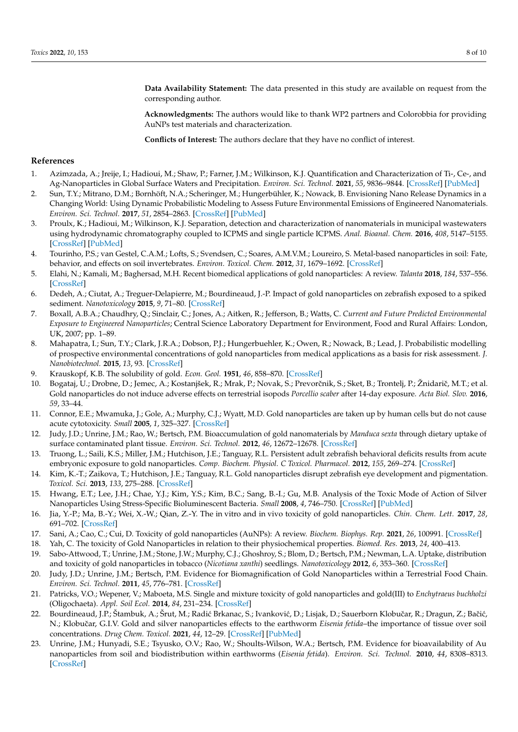**Data Availability Statement:** The data presented in this study are available on request from the corresponding author.

**Acknowledgments:** The authors would like to thank WP2 partners and Colorobbia for providing AuNPs test materials and characterization.

**Conflicts of Interest:** The authors declare that they have no conflict of interest.

### **References**

- <span id="page-7-0"></span>1. Azimzada, A.; Jreije, I.; Hadioui, M.; Shaw, P.; Farner, J.M.; Wilkinson, K.J. Quantification and Characterization of Ti-, Ce-, and Ag-Nanoparticles in Global Surface Waters and Precipitation. *Environ. Sci. Technol.* **2021**, *55*, 9836–9844. [\[CrossRef\]](http://doi.org/10.1021/acs.est.1c00488) [\[PubMed\]](http://www.ncbi.nlm.nih.gov/pubmed/34181400)
- <span id="page-7-1"></span>2. Sun, T.Y.; Mitrano, D.M.; Bornhöft, N.A.; Scheringer, M.; Hungerbühler, K.; Nowack, B. Envisioning Nano Release Dynamics in a Changing World: Using Dynamic Probabilistic Modeling to Assess Future Environmental Emissions of Engineered Nanomaterials. *Environ. Sci. Technol.* **2017**, *51*, 2854–2863. [\[CrossRef\]](http://doi.org/10.1021/acs.est.6b05702) [\[PubMed\]](http://www.ncbi.nlm.nih.gov/pubmed/28157288)
- <span id="page-7-2"></span>3. Proulx, K.; Hadioui, M.; Wilkinson, K.J. Separation, detection and characterization of nanomaterials in municipal wastewaters using hydrodynamic chromatography coupled to ICPMS and single particle ICPMS. *Anal. Bioanal. Chem.* **2016**, *408*, 5147–5155. [\[CrossRef\]](http://doi.org/10.1007/s00216-016-9451-x) [\[PubMed\]](http://www.ncbi.nlm.nih.gov/pubmed/26970748)
- <span id="page-7-3"></span>4. Tourinho, P.S.; van Gestel, C.A.M.; Lofts, S.; Svendsen, C.; Soares, A.M.V.M.; Loureiro, S. Metal-based nanoparticles in soil: Fate, behavior, and effects on soil invertebrates. *Environ. Toxicol. Chem.* **2012**, *31*, 1679–1692. [\[CrossRef\]](http://doi.org/10.1002/etc.1880)
- <span id="page-7-4"></span>5. Elahi, N.; Kamali, M.; Baghersad, M.H. Recent biomedical applications of gold nanoparticles: A review. *Talanta* **2018**, *184*, 537–556. [\[CrossRef\]](http://doi.org/10.1016/j.talanta.2018.02.088)
- <span id="page-7-5"></span>6. Dedeh, A.; Ciutat, A.; Treguer-Delapierre, M.; Bourdineaud, J.-P. Impact of gold nanoparticles on zebrafish exposed to a spiked sediment. *Nanotoxicology* **2015**, *9*, 71–80. [\[CrossRef\]](http://doi.org/10.3109/17435390.2014.889238)
- <span id="page-7-6"></span>7. Boxall, A.B.A.; Chaudhry, Q.; Sinclair, C.; Jones, A.; Aitken, R.; Jefferson, B.; Watts, C. *Current and Future Predicted Environmental Exposure to Engineered Nanoparticles*; Central Science Laboratory Department for Environment, Food and Rural Affairs: London, UK, 2007; pp. 1–89.
- <span id="page-7-7"></span>8. Mahapatra, I.; Sun, T.Y.; Clark, J.R.A.; Dobson, P.J.; Hungerbuehler, K.; Owen, R.; Nowack, B.; Lead, J. Probabilistic modelling of prospective environmental concentrations of gold nanoparticles from medical applications as a basis for risk assessment. *J. Nanobiotechnol.* **2015**, *13*, 93. [\[CrossRef\]](http://doi.org/10.1186/s12951-015-0150-0)
- <span id="page-7-8"></span>9. Krauskopf, K.B. The solubility of gold. *Econ. Geol.* **1951**, *46*, 858–870. [\[CrossRef\]](http://doi.org/10.2113/gsecongeo.46.8.858)
- <span id="page-7-9"></span>10. Bogataj, U.; Drobne, D.; Jemec, A.; Kostanjšek, R.; Mrak, P.; Novak, S.; Prevorčnik, S.; Sket, B.; Trontelj, P.; Žnidarič, M.T.; et al. Gold nanoparticles do not induce adverse effects on terrestrial isopods *Porcellio scaber* after 14-day exposure. *Acta Biol. Slov.* **2016**, *59*, 33–44.
- <span id="page-7-10"></span>11. Connor, E.E.; Mwamuka, J.; Gole, A.; Murphy, C.J.; Wyatt, M.D. Gold nanoparticles are taken up by human cells but do not cause acute cytotoxicity. *Small* **2005**, *1*, 325–327. [\[CrossRef\]](http://doi.org/10.1002/smll.200400093)
- <span id="page-7-11"></span>12. Judy, J.D.; Unrine, J.M.; Rao, W.; Bertsch, P.M. Bioaccumulation of gold nanomaterials by *Manduca sexta* through dietary uptake of surface contaminated plant tissue. *Environ. Sci. Technol.* **2012**, *46*, 12672–12678. [\[CrossRef\]](http://doi.org/10.1021/es303333w)
- 13. Truong, L.; Saili, K.S.; Miller, J.M.; Hutchison, J.E.; Tanguay, R.L. Persistent adult zebrafish behavioral deficits results from acute embryonic exposure to gold nanoparticles. *Comp. Biochem. Physiol. C Toxicol. Pharmacol.* **2012**, *155*, 269–274. [\[CrossRef\]](http://doi.org/10.1016/j.cbpc.2011.09.006)
- 14. Kim, K.-T.; Zaikova, T.; Hutchison, J.E.; Tanguay, R.L. Gold nanoparticles disrupt zebrafish eye development and pigmentation. *Toxicol. Sci.* **2013**, *133*, 275–288. [\[CrossRef\]](http://doi.org/10.1093/toxsci/kft081)
- 15. Hwang, E.T.; Lee, J.H.; Chae, Y.J.; Kim, Y.S.; Kim, B.C.; Sang, B.-I.; Gu, M.B. Analysis of the Toxic Mode of Action of Silver Nanoparticles Using Stress-Specific Bioluminescent Bacteria. *Small* **2008**, *4*, 746–750. [\[CrossRef\]](http://doi.org/10.1002/smll.200700954) [\[PubMed\]](http://www.ncbi.nlm.nih.gov/pubmed/18528852)
- 16. Jia, Y.-P.; Ma, B.-Y.; Wei, X.-W.; Qian, Z.-Y. The in vitro and in vivo toxicity of gold nanoparticles. *Chin. Chem. Lett.* **2017**, *28*, 691–702. [\[CrossRef\]](http://doi.org/10.1016/j.cclet.2017.01.021)
- 17. Sani, A.; Cao, C.; Cui, D. Toxicity of gold nanoparticles (AuNPs): A review. *Biochem. Biophys. Rep.* **2021**, *26*, 100991. [\[CrossRef\]](http://doi.org/10.1016/j.bbrep.2021.100991)
- 18. Yah, C. The toxicity of Gold Nanoparticles in relation to their physiochemical properties. *Biomed. Res.* **2013**, *24*, 400–413.
- 19. Sabo-Attwood, T.; Unrine, J.M.; Stone, J.W.; Murphy, C.J.; Ghoshroy, S.; Blom, D.; Bertsch, P.M.; Newman, L.A. Uptake, distribution and toxicity of gold nanoparticles in tobacco (*Nicotiana xanthi*) seedlings. *Nanotoxicology* **2012**, *6*, 353–360. [\[CrossRef\]](http://doi.org/10.3109/17435390.2011.579631)
- <span id="page-7-12"></span>20. Judy, J.D.; Unrine, J.M.; Bertsch, P.M. Evidence for Biomagnification of Gold Nanoparticles within a Terrestrial Food Chain. *Environ. Sci. Technol.* **2011**, *45*, 776–781. [\[CrossRef\]](http://doi.org/10.1021/es103031a)
- <span id="page-7-13"></span>21. Patricks, V.O.; Wepener, V.; Maboeta, M.S. Single and mixture toxicity of gold nanoparticles and gold(III) to *Enchytraeus buchholzi* (Oligochaeta). *Appl. Soil Ecol.* **2014**, *84*, 231–234. [\[CrossRef\]](http://doi.org/10.1016/j.apsoil.2014.08.007)
- <span id="page-7-14"></span>22. Bourdineaud, J.P.; Štambuk, A.; Šrut, M.; Radić Brkanac, S.; Ivanković, D.; Lisjak, D.; Sauerborn Klobučar, R.; Dragun, Z.; Bačić, N.; Klobučar, G.I.V. Gold and silver nanoparticles effects to the earthworm *Eisenia fetida*–the importance of tissue over soil concentrations. *Drug Chem. Toxicol.* **2021**, *44*, 12–29. [\[CrossRef\]](http://doi.org/10.1080/01480545.2019.1567757) [\[PubMed\]](http://www.ncbi.nlm.nih.gov/pubmed/30945571)
- <span id="page-7-15"></span>23. Unrine, J.M.; Hunyadi, S.E.; Tsyusko, O.V.; Rao, W.; Shoults-Wilson, W.A.; Bertsch, P.M. Evidence for bioavailability of Au nanoparticles from soil and biodistribution within earthworms (*Eisenia fetida*). *Environ. Sci. Technol.* **2010**, *44*, 8308–8313. [\[CrossRef\]](http://doi.org/10.1021/es101885w)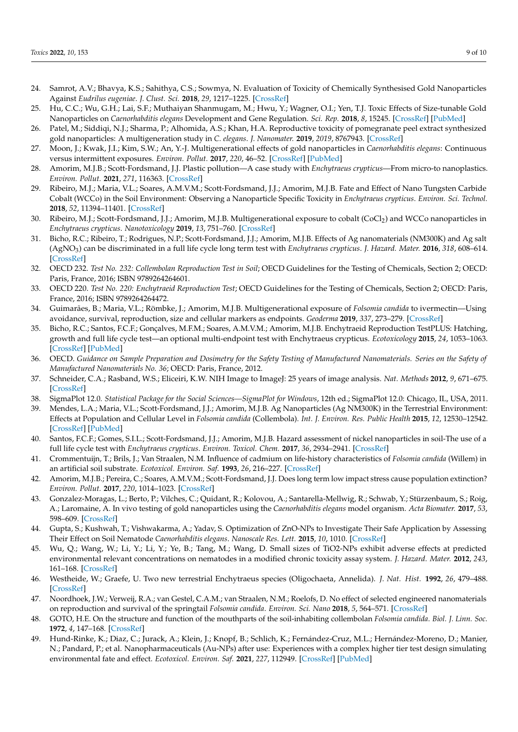- <span id="page-8-0"></span>24. Samrot, A.V.; Bhavya, K.S.; Sahithya, C.S.; Sowmya, N. Evaluation of Toxicity of Chemically Synthesised Gold Nanoparticles Against *Eudrilus eugeniae*. *J. Clust. Sci.* **2018**, *29*, 1217–1225. [\[CrossRef\]](http://doi.org/10.1007/s10876-018-1440-0)
- <span id="page-8-1"></span>25. Hu, C.C.; Wu, G.H.; Lai, S.F.; Muthaiyan Shanmugam, M.; Hwu, Y.; Wagner, O.I.; Yen, T.J. Toxic Effects of Size-tunable Gold Nanoparticles on *Caenorhabditis elegans* Development and Gene Regulation. *Sci. Rep.* **2018**, *8*, 15245. [\[CrossRef\]](http://doi.org/10.1038/s41598-018-33585-7) [\[PubMed\]](http://www.ncbi.nlm.nih.gov/pubmed/30323250)
- <span id="page-8-2"></span>26. Patel, M.; Siddiqi, N.J.; Sharma, P.; Alhomida, A.S.; Khan, H.A. Reproductive toxicity of pomegranate peel extract synthesized gold nanoparticles: A multigeneration study in *C. elegans*. *J. Nanomater.* **2019**, *2019*, 8767943. [\[CrossRef\]](http://doi.org/10.1155/2019/8767943)
- <span id="page-8-3"></span>27. Moon, J.; Kwak, J.I.; Kim, S.W.; An, Y.-J. Multigenerational effects of gold nanoparticles in *Caenorhabditis elegans*: Continuous versus intermittent exposures. *Environ. Pollut.* **2017**, *220*, 46–52. [\[CrossRef\]](http://doi.org/10.1016/j.envpol.2016.09.021) [\[PubMed\]](http://www.ncbi.nlm.nih.gov/pubmed/27634002)
- <span id="page-8-4"></span>28. Amorim, M.J.B.; Scott-Fordsmand, J.J. Plastic pollution—A case study with *Enchytraeus crypticus*—From micro-to nanoplastics. *Environ. Pollut.* **2021**, *271*, 116363. [\[CrossRef\]](http://doi.org/10.1016/j.envpol.2020.116363)
- <span id="page-8-5"></span>29. Ribeiro, M.J.; Maria, V.L.; Soares, A.M.V.M.; Scott-Fordsmand, J.J.; Amorim, M.J.B. Fate and Effect of Nano Tungsten Carbide Cobalt (WCCo) in the Soil Environment: Observing a Nanoparticle Specific Toxicity in *Enchytraeus crypticus*. *Environ. Sci. Technol.* **2018**, *52*, 11394–11401. [\[CrossRef\]](http://doi.org/10.1021/acs.est.8b02537)
- <span id="page-8-6"></span>30. Ribeiro, M.J.; Scott-Fordsmand, J.J.; Amorim, M.J.B. Multigenerational exposure to cobalt (CoCl<sup>2</sup> ) and WCCo nanoparticles in *Enchytraeus crypticus*. *Nanotoxicology* **2019**, *13*, 751–760. [\[CrossRef\]](http://doi.org/10.1080/17435390.2019.1570374)
- <span id="page-8-7"></span>31. Bicho, R.C.; Ribeiro, T.; Rodrigues, N.P.; Scott-Fordsmand, J.J.; Amorim, M.J.B. Effects of Ag nanomaterials (NM300K) and Ag salt (AgNO<sup>3</sup> ) can be discriminated in a full life cycle long term test with *Enchytraeus crypticus*. *J. Hazard. Mater.* **2016**, *318*, 608–614. [\[CrossRef\]](http://doi.org/10.1016/j.jhazmat.2016.07.040)
- <span id="page-8-8"></span>32. OECD 232. *Test No. 232: Collembolan Reproduction Test in Soil*; OECD Guidelines for the Testing of Chemicals, Section 2; OECD: Paris, France, 2016; ISBN 9789264264601.
- <span id="page-8-9"></span>33. OECD 220. *Test No. 220: Enchytraeid Reproduction Test*; OECD Guidelines for the Testing of Chemicals, Section 2; OECD: Paris, France, 2016; ISBN 9789264264472.
- <span id="page-8-10"></span>34. Guimarães, B.; Maria, V.L.; Römbke, J.; Amorim, M.J.B. Multigenerational exposure of *Folsomia candida* to ivermectin—Using avoidance, survival, reproduction, size and cellular markers as endpoints. *Geoderma* **2019**, *337*, 273–279. [\[CrossRef\]](http://doi.org/10.1016/j.geoderma.2018.09.030)
- <span id="page-8-11"></span>35. Bicho, R.C.; Santos, F.C.F.; Gonçalves, M.F.M.; Soares, A.M.V.M.; Amorim, M.J.B. Enchytraeid Reproduction TestPLUS: Hatching, growth and full life cycle test—an optional multi-endpoint test with Enchytraeus crypticus. *Ecotoxicology* **2015**, *24*, 1053–1063. [\[CrossRef\]](http://doi.org/10.1007/s10646-015-1445-5) [\[PubMed\]](http://www.ncbi.nlm.nih.gov/pubmed/25773650)
- <span id="page-8-12"></span>36. OECD. *Guidance on Sample Preparation and Dosimetry for the Safety Testing of Manufactured Nanomaterials. Series on the Safety of Manufactured Nanomaterials No. 36*; OECD: Paris, France, 2012.
- <span id="page-8-13"></span>37. Schneider, C.A.; Rasband, W.S.; Eliceiri, K.W. NIH Image to ImageJ: 25 years of image analysis. *Nat. Methods* **2012**, *9*, 671–675. [\[CrossRef\]](http://doi.org/10.1038/nmeth.2089)
- <span id="page-8-14"></span>38. SigmaPlot 12.0. *Statistical Package for the Social Sciences—SigmaPlot for Windows*, 12th ed.; SigmaPlot 12.0: Chicago, IL, USA, 2011.
- <span id="page-8-15"></span>39. Mendes, L.A.; Maria, V.L.; Scott-Fordsmand, J.J.; Amorim, M.J.B. Ag Nanoparticles (Ag NM300K) in the Terrestrial Environment: Effects at Population and Cellular Level in *Folsomia candida* (Collembola). *Int. J. Environ. Res. Public Health* **2015**, *12*, 12530–12542. [\[CrossRef\]](http://doi.org/10.3390/ijerph121012530) [\[PubMed\]](http://www.ncbi.nlm.nih.gov/pubmed/26473892)
- <span id="page-8-16"></span>40. Santos, F.C.F.; Gomes, S.I.L.; Scott-Fordsmand, J.J.; Amorim, M.J.B. Hazard assessment of nickel nanoparticles in soil-The use of a full life cycle test with *Enchytraeus crypticus*. *Environ. Toxicol. Chem.* **2017**, *36*, 2934–2941. [\[CrossRef\]](http://doi.org/10.1002/etc.3853)
- <span id="page-8-17"></span>41. Crommentuijn, T.; Brils, J.; Van Straalen, N.M. Influence of cadmium on life-history characteristics of *Folsomia candida* (Willem) in an artificial soil substrate. *Ecotoxicol. Environ. Saf.* **1993**, *26*, 216–227. [\[CrossRef\]](http://doi.org/10.1006/eesa.1993.1051)
- <span id="page-8-18"></span>42. Amorim, M.J.B.; Pereira, C.; Soares, A.M.V.M.; Scott-Fordsmand, J.J. Does long term low impact stress cause population extinction? *Environ. Pollut.* **2017**, *220*, 1014–1023. [\[CrossRef\]](http://doi.org/10.1016/j.envpol.2016.11.044)
- <span id="page-8-19"></span>43. Gonzalez-Moragas, L.; Berto, P.; Vilches, C.; Quidant, R.; Kolovou, A.; Santarella-Mellwig, R.; Schwab, Y.; Stürzenbaum, S.; Roig, A.; Laromaine, A. In vivo testing of gold nanoparticles using the *Caenorhabditis elegans* model organism. *Acta Biomater.* **2017**, *53*, 598–609. [\[CrossRef\]](http://doi.org/10.1016/j.actbio.2017.01.080)
- <span id="page-8-20"></span>44. Gupta, S.; Kushwah, T.; Vishwakarma, A.; Yadav, S. Optimization of ZnO-NPs to Investigate Their Safe Application by Assessing Their Effect on Soil Nematode *Caenorhabditis elegans*. *Nanoscale Res. Lett.* **2015**, *10*, 1010. [\[CrossRef\]](http://doi.org/10.1186/s11671-015-1010-4)
- <span id="page-8-21"></span>45. Wu, Q.; Wang, W.; Li, Y.; Li, Y.; Ye, B.; Tang, M.; Wang, D. Small sizes of TiO2-NPs exhibit adverse effects at predicted environmental relevant concentrations on nematodes in a modified chronic toxicity assay system. *J. Hazard. Mater.* **2012**, *243*, 161–168. [\[CrossRef\]](http://doi.org/10.1016/j.jhazmat.2012.10.013)
- <span id="page-8-22"></span>46. Westheide, W.; Graefe, U. Two new terrestrial Enchytraeus species (Oligochaeta, Annelida). *J. Nat. Hist.* **1992**, *26*, 479–488. [\[CrossRef\]](http://doi.org/10.1080/00222939200770311)
- <span id="page-8-23"></span>47. Noordhoek, J.W.; Verweij, R.A.; van Gestel, C.A.M.; van Straalen, N.M.; Roelofs, D. No effect of selected engineered nanomaterials on reproduction and survival of the springtail *Folsomia candida*. *Environ. Sci. Nano* **2018**, *5*, 564–571. [\[CrossRef\]](http://doi.org/10.1039/C7EN00824D)
- <span id="page-8-24"></span>48. GOTO, H.E. On the structure and function of the mouthparts of the soil-inhabiting collembolan *Folsomia candida*. *Biol. J. Linn. Soc.* **1972**, *4*, 147–168. [\[CrossRef\]](http://doi.org/10.1111/j.1095-8312.1972.tb00693.x)
- <span id="page-8-25"></span>49. Hund-Rinke, K.; Diaz, C.; Jurack, A.; Klein, J.; Knopf, B.; Schlich, K.; Fernández-Cruz, M.L.; Hernández-Moreno, D.; Manier, N.; Pandard, P.; et al. Nanopharmaceuticals (Au-NPs) after use: Experiences with a complex higher tier test design simulating environmental fate and effect. *Ecotoxicol. Environ. Saf.* **2021**, *227*, 112949. [\[CrossRef\]](http://doi.org/10.1016/j.ecoenv.2021.112949) [\[PubMed\]](http://www.ncbi.nlm.nih.gov/pubmed/34755633)